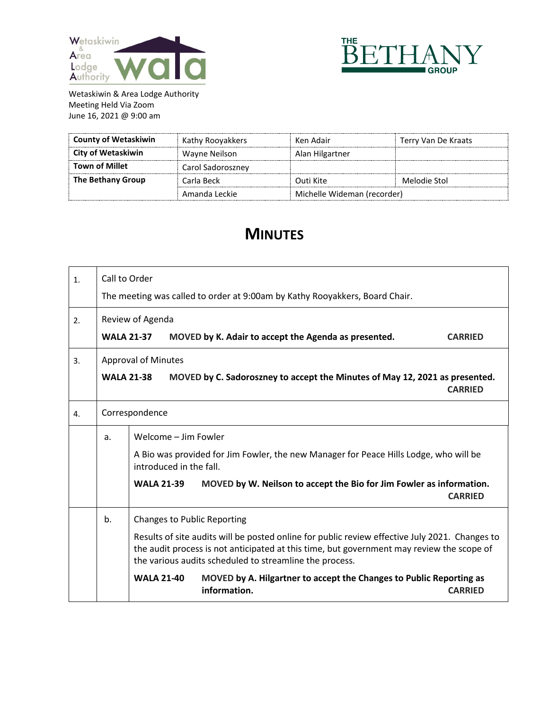



| <b>County of Wetaskiwin</b> | Kathy Rooyakkers  | Ken Adair                   | Terry Van De Kraats |
|-----------------------------|-------------------|-----------------------------|---------------------|
| City of Wetaskiwin          | Wayne Neilson     | Alan Hilgartner             |                     |
| <b>Town of Millet</b>       | Carol Sadoroszney |                             |                     |
| The Bethany Group           | Carla Beck        | Outi Kite                   | Melodie Stol        |
|                             | Amanda Leckie     | Michelle Wideman (recorder) |                     |

## **MINUTES**

| 1. | Call to Order                                                               |                                                                                                                                                                                                                                                        |                                                                                     |                |  |  |
|----|-----------------------------------------------------------------------------|--------------------------------------------------------------------------------------------------------------------------------------------------------------------------------------------------------------------------------------------------------|-------------------------------------------------------------------------------------|----------------|--|--|
|    | The meeting was called to order at 9:00am by Kathy Rooyakkers, Board Chair. |                                                                                                                                                                                                                                                        |                                                                                     |                |  |  |
| 2. | Review of Agenda                                                            |                                                                                                                                                                                                                                                        |                                                                                     |                |  |  |
|    | <b>WALA 21-37</b>                                                           |                                                                                                                                                                                                                                                        | MOVED by K. Adair to accept the Agenda as presented.                                | <b>CARRIED</b> |  |  |
| 3. | <b>Approval of Minutes</b>                                                  |                                                                                                                                                                                                                                                        |                                                                                     |                |  |  |
|    | <b>WALA 21-38</b>                                                           |                                                                                                                                                                                                                                                        | MOVED by C. Sadoroszney to accept the Minutes of May 12, 2021 as presented.         | <b>CARRIED</b> |  |  |
| 4. |                                                                             | Correspondence                                                                                                                                                                                                                                         |                                                                                     |                |  |  |
|    | a.                                                                          | Welcome - Jim Fowler                                                                                                                                                                                                                                   |                                                                                     |                |  |  |
|    |                                                                             | A Bio was provided for Jim Fowler, the new Manager for Peace Hills Lodge, who will be<br>introduced in the fall.                                                                                                                                       |                                                                                     |                |  |  |
|    |                                                                             | <b>WALA 21-39</b>                                                                                                                                                                                                                                      | MOVED by W. Neilson to accept the Bio for Jim Fowler as information.                | <b>CARRIED</b> |  |  |
|    | b.                                                                          | <b>Changes to Public Reporting</b>                                                                                                                                                                                                                     |                                                                                     |                |  |  |
|    |                                                                             | Results of site audits will be posted online for public review effective July 2021. Changes to<br>the audit process is not anticipated at this time, but government may review the scope of<br>the various audits scheduled to streamline the process. |                                                                                     |                |  |  |
|    |                                                                             | <b>WALA 21-40</b>                                                                                                                                                                                                                                      | MOVED by A. Hilgartner to accept the Changes to Public Reporting as<br>information. | <b>CARRIED</b> |  |  |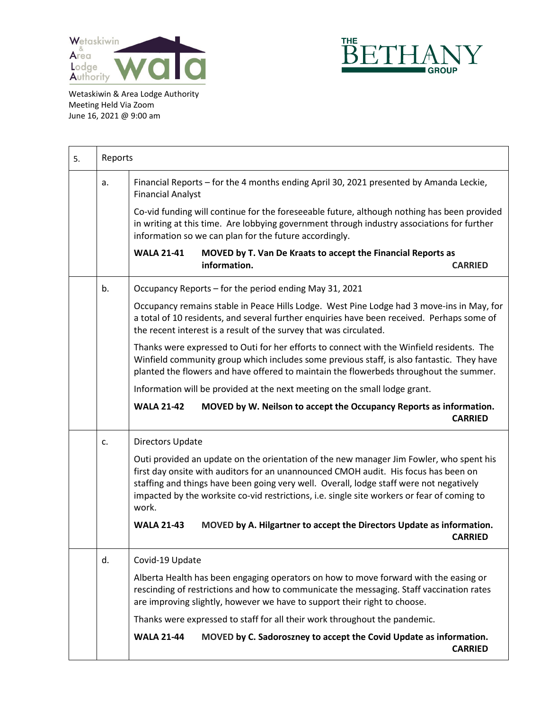



| 5. | Reports |                                                                                                                                                                                                                                                                                                                                                                                   |
|----|---------|-----------------------------------------------------------------------------------------------------------------------------------------------------------------------------------------------------------------------------------------------------------------------------------------------------------------------------------------------------------------------------------|
|    | a.      | Financial Reports - for the 4 months ending April 30, 2021 presented by Amanda Leckie,<br><b>Financial Analyst</b>                                                                                                                                                                                                                                                                |
|    |         | Co-vid funding will continue for the foreseeable future, although nothing has been provided<br>in writing at this time. Are lobbying government through industry associations for further<br>information so we can plan for the future accordingly.                                                                                                                               |
|    |         | <b>WALA 21-41</b><br>MOVED by T. Van De Kraats to accept the Financial Reports as<br>information.<br><b>CARRIED</b>                                                                                                                                                                                                                                                               |
|    | b.      | Occupancy Reports - for the period ending May 31, 2021                                                                                                                                                                                                                                                                                                                            |
|    |         | Occupancy remains stable in Peace Hills Lodge. West Pine Lodge had 3 move-ins in May, for<br>a total of 10 residents, and several further enquiries have been received. Perhaps some of<br>the recent interest is a result of the survey that was circulated.                                                                                                                     |
|    |         | Thanks were expressed to Outi for her efforts to connect with the Winfield residents. The<br>Winfield community group which includes some previous staff, is also fantastic. They have<br>planted the flowers and have offered to maintain the flowerbeds throughout the summer.                                                                                                  |
|    |         | Information will be provided at the next meeting on the small lodge grant.                                                                                                                                                                                                                                                                                                        |
|    |         | <b>WALA 21-42</b><br>MOVED by W. Neilson to accept the Occupancy Reports as information.<br><b>CARRIED</b>                                                                                                                                                                                                                                                                        |
|    | c.      | Directors Update                                                                                                                                                                                                                                                                                                                                                                  |
|    |         | Outi provided an update on the orientation of the new manager Jim Fowler, who spent his<br>first day onsite with auditors for an unannounced CMOH audit. His focus has been on<br>staffing and things have been going very well. Overall, lodge staff were not negatively<br>impacted by the worksite co-vid restrictions, i.e. single site workers or fear of coming to<br>work. |
|    |         | <b>WALA 21-43</b><br>MOVED by A. Hilgartner to accept the Directors Update as information.<br><b>CARRIED</b>                                                                                                                                                                                                                                                                      |
|    | d.      | Covid-19 Update                                                                                                                                                                                                                                                                                                                                                                   |
|    |         | Alberta Health has been engaging operators on how to move forward with the easing or<br>rescinding of restrictions and how to communicate the messaging. Staff vaccination rates<br>are improving slightly, however we have to support their right to choose.                                                                                                                     |
|    |         | Thanks were expressed to staff for all their work throughout the pandemic.                                                                                                                                                                                                                                                                                                        |
|    |         | MOVED by C. Sadoroszney to accept the Covid Update as information.<br><b>WALA 21-44</b><br><b>CARRIED</b>                                                                                                                                                                                                                                                                         |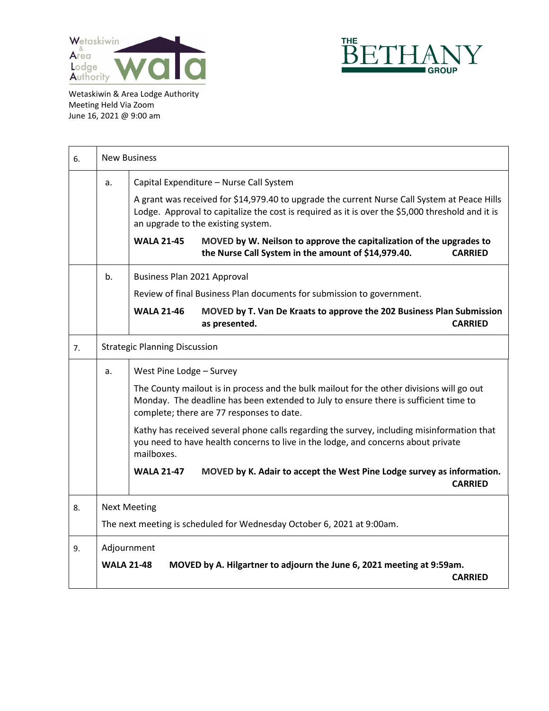



| 6. | <b>New Business</b> |                                                                                                                                                                                                                                        |  |  |
|----|---------------------|----------------------------------------------------------------------------------------------------------------------------------------------------------------------------------------------------------------------------------------|--|--|
|    | a.                  | Capital Expenditure - Nurse Call System                                                                                                                                                                                                |  |  |
|    |                     | A grant was received for \$14,979.40 to upgrade the current Nurse Call System at Peace Hills<br>Lodge. Approval to capitalize the cost is required as it is over the \$5,000 threshold and it is<br>an upgrade to the existing system. |  |  |
|    |                     | <b>WALA 21-45</b><br>MOVED by W. Neilson to approve the capitalization of the upgrades to<br>the Nurse Call System in the amount of \$14,979.40.<br><b>CARRIED</b>                                                                     |  |  |
|    | b.                  | Business Plan 2021 Approval                                                                                                                                                                                                            |  |  |
|    |                     | Review of final Business Plan documents for submission to government.                                                                                                                                                                  |  |  |
|    |                     | <b>WALA 21-46</b><br>MOVED by T. Van De Kraats to approve the 202 Business Plan Submission<br><b>CARRIED</b><br>as presented.                                                                                                          |  |  |
| 7. |                     | <b>Strategic Planning Discussion</b>                                                                                                                                                                                                   |  |  |
|    | a.                  | West Pine Lodge - Survey                                                                                                                                                                                                               |  |  |
|    |                     | The County mailout is in process and the bulk mailout for the other divisions will go out<br>Monday. The deadline has been extended to July to ensure there is sufficient time to<br>complete; there are 77 responses to date.         |  |  |
|    |                     | Kathy has received several phone calls regarding the survey, including misinformation that<br>you need to have health concerns to live in the lodge, and concerns about private<br>mailboxes.                                          |  |  |
|    |                     | MOVED by K. Adair to accept the West Pine Lodge survey as information.<br><b>WALA 21-47</b><br><b>CARRIED</b>                                                                                                                          |  |  |
| 8. | <b>Next Meeting</b> |                                                                                                                                                                                                                                        |  |  |
|    |                     | The next meeting is scheduled for Wednesday October 6, 2021 at 9:00am.                                                                                                                                                                 |  |  |
| 9. |                     | Adjournment                                                                                                                                                                                                                            |  |  |
|    | <b>WALA 21-48</b>   | MOVED by A. Hilgartner to adjourn the June 6, 2021 meeting at 9:59am.<br><b>CARRIED</b>                                                                                                                                                |  |  |